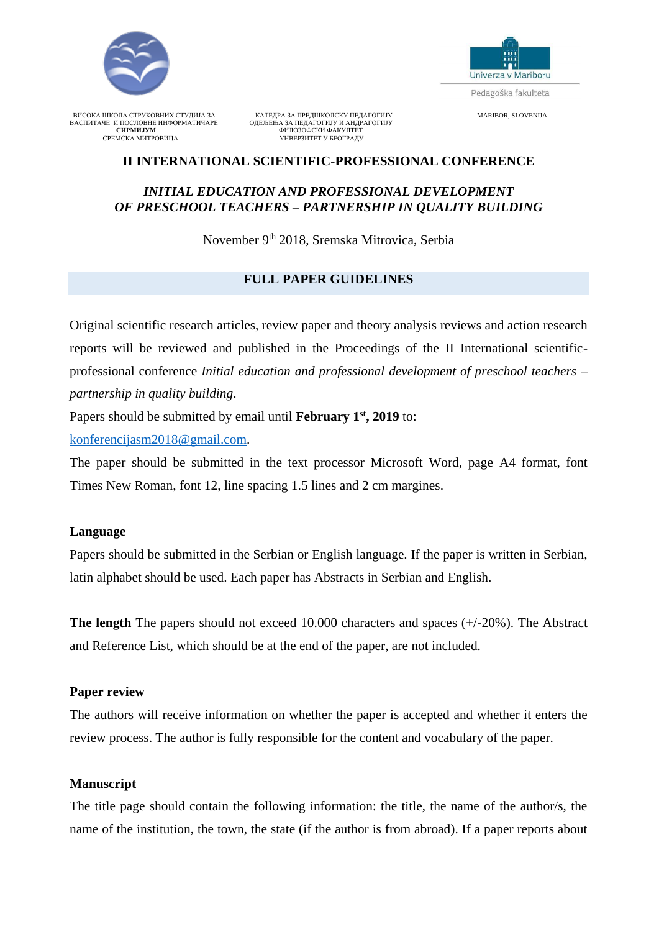



Pedagoška fakulteta

ВИСОКА ШКОЛА СТРУКОВНИХ СТУДИЈА ЗА КАТЕДРА ЗА ПРЕДШКОЛСКУ ПЕДАГОГИЈУ МАКВОR, SLOVENIJA<br>ВАСПИТАЧЕ И ПОСЛОВНЕ ИНФОРМАТИЧАРЕ ОДЕЉЕЊА ЗА ПЕДАГОГИЈУ И АНДРАГОГИЈУ ВАСПИТАЧЕ И ПОСЛОВНЕ ИНФОРМАТИЧАРЕ ОДЕЉЕЊА ЗА ПЕДАГОГИЈУ И АНДРАГОГИЈУ **СИРМИЈУМ** ФИЛОЗОФСКИ ФАКУЛТЕТ СРЕМСКА МИТРОВИЦА УНВЕРЗИТЕТ У БЕОГРАДУ

# **II INTERNATIONAL SCIENTIFIC-PROFESSIONAL CONFERENCE**

## *INITIAL EDUCATION AND PROFESSIONAL DEVELOPMENT OF PRESCHOOL TEACHERS – PARTNERSHIP IN QUALITY BUILDING*

November 9<sup>th</sup> 2018, Sremska Mitrovica, Serbia

## **FULL PAPER GUIDELINES**

Original scientific research articles, review paper and theory analysis reviews and action research reports will be reviewed and published in the Proceedings of the II International scientificprofessional conference *Initial education and professional development of preschool teachers – partnership in quality building*.

Papers should be submitted by email until **February 1st, 2019** to:

[konferencijasm2018@gmail.com.](mailto:konferencijasm2018@hmail.com)

The paper should be submitted in the text processor Microsoft Word, page A4 format, font Times New Roman, font 12, line spacing 1.5 lines and 2 cm margines.

### **Language**

Papers should be submitted in the Serbian or English language. If the paper is written in Serbian, latin alphabet should be used. Each paper has Abstracts in Serbian and English.

**The length** The papers should not exceed 10.000 characters and spaces (+/-20%). The Abstract and Reference List, which should be at the end of the paper, are not included.

### **Paper review**

The authors will receive information on whether the paper is accepted and whether it enters the review process. The author is fully responsible for the content and vocabulary of the paper.

# **Manuscript**

The title page should contain the following information: the title, the name of the author/s, the name of the institution, the town, the state (if the author is from abroad). If a paper reports about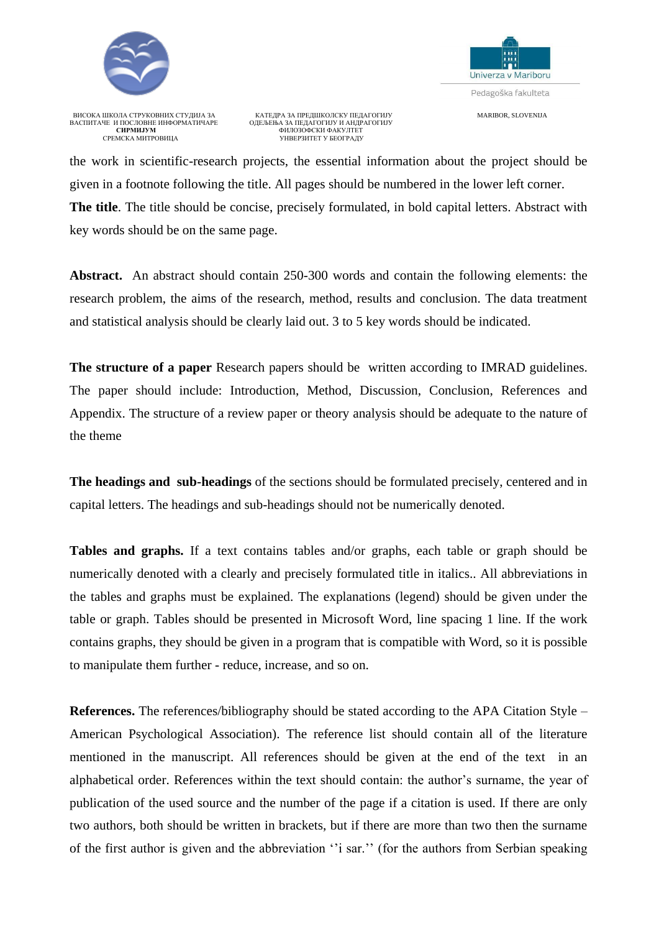

Univerza v Mariboru Pedagoška fakulteta

ВИСОКА ШКОЛА СТРУКОВНИХ СТУДИЈА ЗА КАТЕДРА ЗА ПРЕДШКОЛСКУ ПЕДАГОГИЈУ МА КЛЕДО МА ПРАВО МА ПРАВО МА ПРАВОР МА П<br>ВАСПИТАЧЕ И ПОСЛОВНЕ ИНФОРМАТИЧАРЕ ОДЕЉЕЊА ЗА ПЕДАГОГИЈУ И АНДРАГОГИЈУ ВАСПИТАЧЕ И ПОСЛОВНЕ ИНФОРМАТИЧАРЕ ОДЕЉЕЊА ЗА ПЕДАГОГИЈУ И АНДРАГОГИЈУ **СИРМИЈУМ** ФИЛОЗОФСКИ ФАКУЛТЕТ СРЕМСКА МИТРОВИЦА УНВЕРЗИТЕТ У БЕОГРАДУ

the work in scientific-research projects, the essential information about the project should be given in a footnote following the title. All pages should be numbered in the lower left corner. **The title**. The title should be concise, precisely formulated, in bold capital letters. Abstract with key words should be on the same page.

**Abstract.** An abstract should contain 250-300 words and contain the following elements: the research problem, the aims of the research, method, results and conclusion. The data treatment and statistical analysis should be clearly laid out. 3 to 5 key words should be indicated.

**The structure of a paper** Research papers should be written according to IMRAD guidelines. The paper should include: Introduction, Method, Discussion, Conclusion, References and Appendix. The structure of a review paper or theory analysis should be adequate to the nature of the theme

**The headings and sub-headings** of the sections should be formulated precisely, centered and in capital letters. The headings and sub-headings should not be numerically denoted.

**Tables and graphs.** If a text contains tables and/or graphs, each table or graph should be numerically denoted with a clearly and precisely formulated title in italics.. All abbreviations in the tables and graphs must be explained. The explanations (legend) should be given under the table or graph. Tables should be presented in Microsoft Word, line spacing 1 line. If the work contains graphs, they should be given in a program that is compatible with Word, so it is possible to manipulate them further - reduce, increase, and so on.

**References.** The references/bibliography should be stated according to the APA Citation Style – American Psychological Association). The reference list should contain all of the literature mentioned in the manuscript. All references should be given at the end of the text in an alphabetical order. References within the text should contain: the author's surname, the year of publication of the used source and the number of the page if a citation is used. If there are only two authors, both should be written in brackets, but if there are more than two then the surname of the first author is given and the abbreviation ''i sar.'' (for the authors from Serbian speaking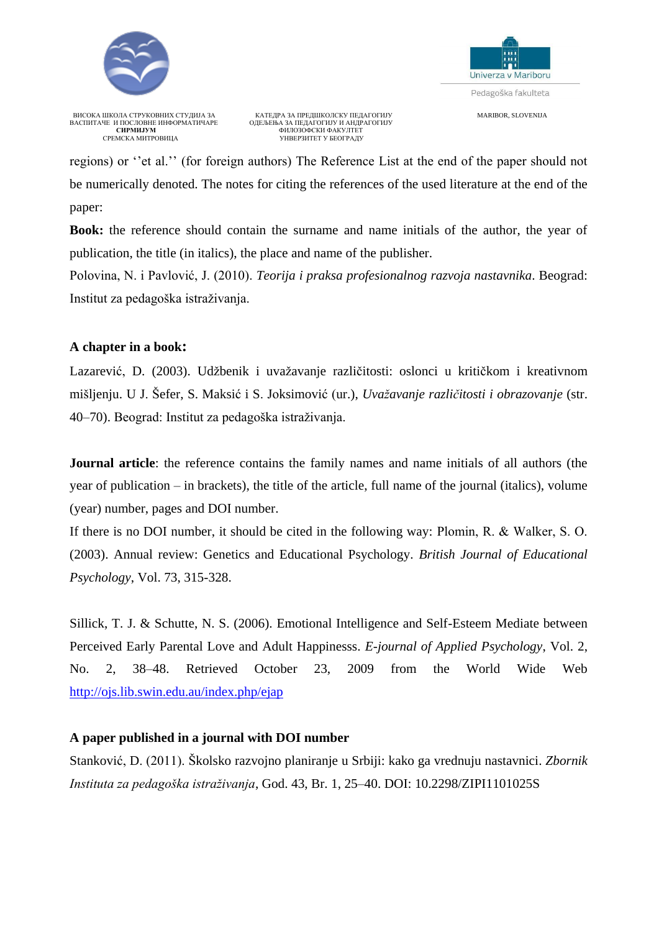



ВИСОКА ШКОЛА СТРУКОВНИХ СТУДИЈА ЗА КАТЕДРА ЗА ПРЕДШКОЛСКУ ПЕДАГОГИЈУ МАКВОR, SLOVENIJA<br>ВАСПИТАЧЕ И ПОСЛОВНЕ ИНФОРМАТИЧАРЕ ОДЕЉЕЊА ЗА ПЕДАГОГИЈУ И АНДРАГОГИЈУ ВАСПИТАЧЕ И ПОСЛОВНЕ ИНФОРМАТИЧАРЕ ОДЕЉЕЊА ЗА ПЕДАГОГИЈУ И АНДРАГОГИЈУ **СИРМИЈУМ** ФИЛОЗОФСКИ ФАКУЛТЕТ СРЕМСКА МИТРОВИЦА УНВЕРЗИТЕТ У БЕОГРАДУ

regions) or ''et al.'' (for foreign authors) The Reference List at the end of the paper should not be numerically denoted. The notes for citing the references of the used literature at the end of the paper:

**Book:** the reference should contain the surname and name initials of the author, the year of publication, the title (in italics), the place and name of the publisher.

Polovina, N. i Pavlović, J. (2010). *Teorija i praksa profesionalnog razvoja nastavnika*. Beograd: Institut za pedagoška istraživanja.

#### **A chapter in a book:**

Lazarević, D. (2003). Udžbenik i uvažavanje različitosti: oslonci u kritičkom i kreativnom mišljenju. U Ј. Šefer, S. Maksić i S. Јоksimović (ur.), *Uvažavanje različitosti i obrazovanje* (str. 40–70). Beograd: Institut za pedagoška istraživanja.

**Journal article**: the reference contains the family names and name initials of all authors (the year of publication – in brackets), the title of the article, full name of the journal (italics), volume (year) number, pages and DOI number.

If there is no DOI number, it should be cited in the following way: Plomin, R. & Walker, S. О. (2003). Annual review: Genetics and Educational Psychology. *British Journal of Educational Psychology*, Vol. 73, 315-328.

Sillick, T. J. & Schutte, N. S. (2006). Emotional Intelligence and Self-Esteem Mediate between Perceived Early Parental Love and Adult Happinesss. *E-journal of Applied Psychology*, Vol. 2, No. 2, 38–48. Retrieved October 23, 2009 from the World Wide Web <http://ojs.lib.swin.edu.au/index.php/ejap>

### **A paper published in a journal with DOI number**

Stanković, D. (2011). Školsko razvojno planiranje u Srbiji: kako ga vrednuju nastavnici. *Zbornik Instituta za pedagoška istraživanja*, God. 43, Br. 1, 25–40. DOI: 10.2298/ZIPI1101025S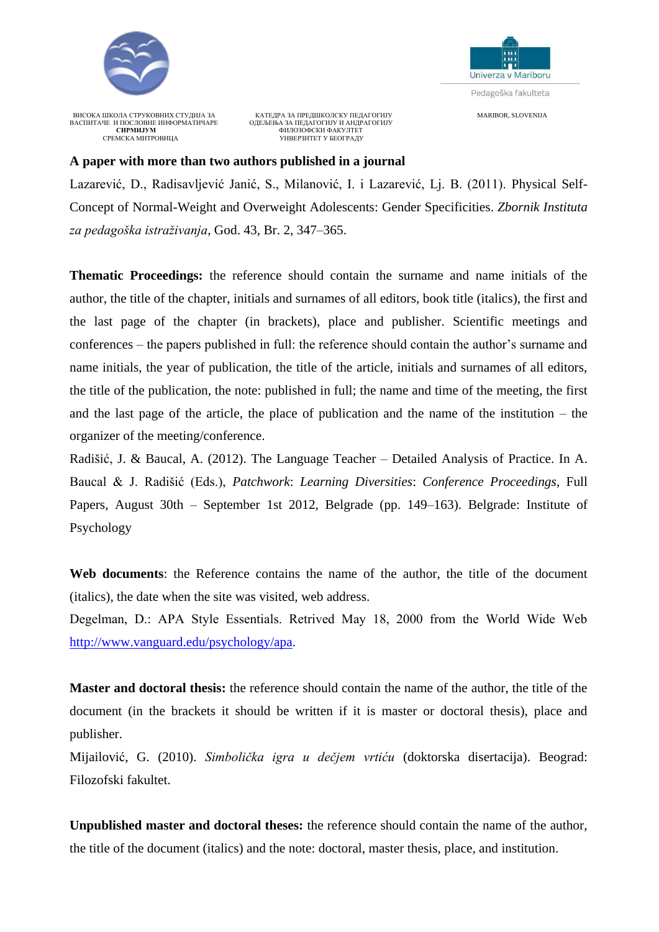



ВИСОКА ШКОЛА СТРУКОВНИХ СТУДИЈА ЗА КАТЕДРА ЗА ПРЕДШКОЛСКУ ПЕДАГОГИЈУ МАКО МАRIBOR, SLOVENIJA<br>ВАСПИТАЧЕ И ПОСЛОВНЕ ИНФОРМАТИЧАРЕ ОДЕЉЕЊА ЗА ПЕДАГОГИЈУ И АНДРАГОГИЈУ ВАСПИТАЧЕ И ПОСЛОВНЕ ИНФОРМАТИЧАРЕ ОДЕЉЕЊА ЗА ПЕДАГОГИЈУ И АНДРАГОГИЈУ **СИРМИЈУМ** ФИЛОЗОФСКИ ФАКУЛТЕТ СРЕМСКА МИТРОВИЦА УНВЕРЗИТЕТ У БЕОГРАДУ

### **A paper with more than two authors published in a journal**

Lazarević, D., Radisavljević Janić, S., Milanović, I. i Lazarević, Lj. B. (2011). Physical Self-Concept of Normal-Weight and Overweight Adolescents: Gender Specificities. *Zbornik Instituta za pedagoška istraživanja*, God. 43, Br. 2, 347–365.

**Thematic Proceedings:** the reference should contain the surname and name initials of the author, the title of the chapter, initials and surnames of all editors, book title (italics), the first and the last page of the chapter (in brackets), place and publisher. Scientific meetings and conferences – the papers published in full: the reference should contain the author's surname and name initials, the year of publication, the title of the article, initials and surnames of all editors, the title of the publication, the note: published in full; the name and time of the meeting, the first and the last page of the article, the place of publication and the name of the institution – the organizer of the meeting/conference.

Radišić, J. & Baucal, A. (2012). The Language Teacher – Detailed Analysis of Practice. In A. Baucal & J. Radišić (Eds.), *Patchwork*: *Learning Diversities*: *Conference Proceedings*, Full Papers, August 30th – September 1st 2012, Belgrade (pp. 149–163). Belgrade: Institute of Psychology

**Web documents**: the Reference contains the name of the author, the title of the document (italics), the date when the site was visited, web address.

Degelman, D.: АPA Style Essentials. Retrived Маy 18, 2000 from the World Wide Web [http://www.vanguard.edu/psychology/apa.](http://www.vanguard.edu/psychology/apa)

**Master and doctoral thesis:** the reference should contain the name of the author, the title of the document (in the brackets it should be written if it is master or doctoral thesis), place and publisher.

Mijailović, G. (2010). *Simbolička igra u dečjem vrtiću* (doktorska disertacija). Beograd: Filozofski fakultet.

**Unpublished master and doctoral theses:** the reference should contain the name of the author, the title of the document (italics) and the note: doctoral, master thesis, place, and institution.